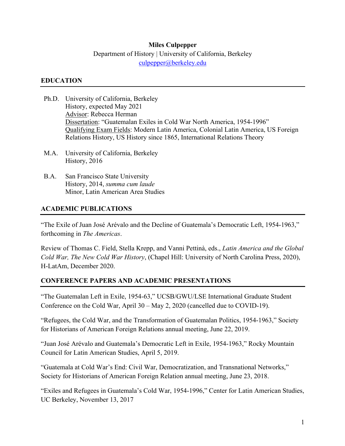### **Miles Culpepper**

## Department of History | University of California, Berkeley culpepper@berkeley.edu

#### **EDUCATION**

- Ph.D. University of California, Berkeley History, expected May 2021 Advisor: Rebecca Herman Dissertation: "Guatemalan Exiles in Cold War North America, 1954-1996" Qualifying Exam Fields: Modern Latin America, Colonial Latin America, US Foreign Relations History, US History since 1865, International Relations Theory
- M.A. University of California, Berkeley History, 2016
- B.A. San Francisco State University History, 2014, *summa cum laude* Minor, Latin American Area Studies

## **ACADEMIC PUBLICATIONS**

"The Exile of Juan José Arévalo and the Decline of Guatemala's Democratic Left, 1954-1963," forthcoming in *The Americas*.

Review of Thomas C. Field, Stella Krepp, and Vanni Pettinà, eds., *Latin America and the Global Cold War, The New Cold War History*, (Chapel Hill: University of North Carolina Press, 2020), H-LatAm, December 2020.

### **CONFERENCE PAPERS AND ACADEMIC PRESENTATIONS**

"The Guatemalan Left in Exile, 1954-63," UCSB/GWU/LSE International Graduate Student Conference on the Cold War, April 30 – May 2, 2020 (cancelled due to COVID-19).

"Refugees, the Cold War, and the Transformation of Guatemalan Politics, 1954-1963," Society for Historians of American Foreign Relations annual meeting, June 22, 2019.

"Juan José Arévalo and Guatemala's Democratic Left in Exile, 1954-1963," Rocky Mountain Council for Latin American Studies, April 5, 2019.

"Guatemala at Cold War's End: Civil War, Democratization, and Transnational Networks," Society for Historians of American Foreign Relation annual meeting, June 23, 2018.

"Exiles and Refugees in Guatemala's Cold War, 1954-1996," Center for Latin American Studies, UC Berkeley, November 13, 2017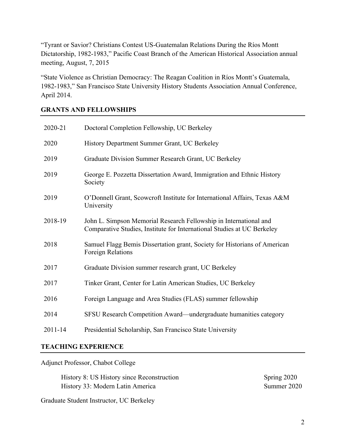"Tyrant or Savior? Christians Contest US-Guatemalan Relations During the Ríos Montt Dictatorship, 1982-1983," Pacific Coast Branch of the American Historical Association annual meeting, August, 7, 2015

"State Violence as Christian Democracy: The Reagan Coalition in Ríos Montt's Guatemala, 1982-1983," San Francisco State University History Students Association Annual Conference, April 2014.

## **GRANTS AND FELLOWSHIPS**

| 2020-21     | Doctoral Completion Fellowship, UC Berkeley                                                                                                  |
|-------------|----------------------------------------------------------------------------------------------------------------------------------------------|
| 2020        | History Department Summer Grant, UC Berkeley                                                                                                 |
| 2019        | Graduate Division Summer Research Grant, UC Berkeley                                                                                         |
| 2019        | George E. Pozzetta Dissertation Award, Immigration and Ethnic History<br>Society                                                             |
| 2019        | O'Donnell Grant, Scowcroft Institute for International Affairs, Texas A&M<br>University                                                      |
| 2018-19     | John L. Simpson Memorial Research Fellowship in International and<br>Comparative Studies, Institute for International Studies at UC Berkeley |
| 2018        | Samuel Flagg Bemis Dissertation grant, Society for Historians of American<br>Foreign Relations                                               |
| 2017        | Graduate Division summer research grant, UC Berkeley                                                                                         |
| 2017        | Tinker Grant, Center for Latin American Studies, UC Berkeley                                                                                 |
| 2016        | Foreign Language and Area Studies (FLAS) summer fellowship                                                                                   |
| 2014        | SFSU Research Competition Award—undergraduate humanities category                                                                            |
| $2011 - 14$ | Presidential Scholarship, San Francisco State University                                                                                     |

#### **TEACHING EXPERIENCE**

Adjunct Professor, Chabot College

History 8: US History since Reconstruction Spring 2020 History 33: Modern Latin America Summer 2020

Graduate Student Instructor, UC Berkeley